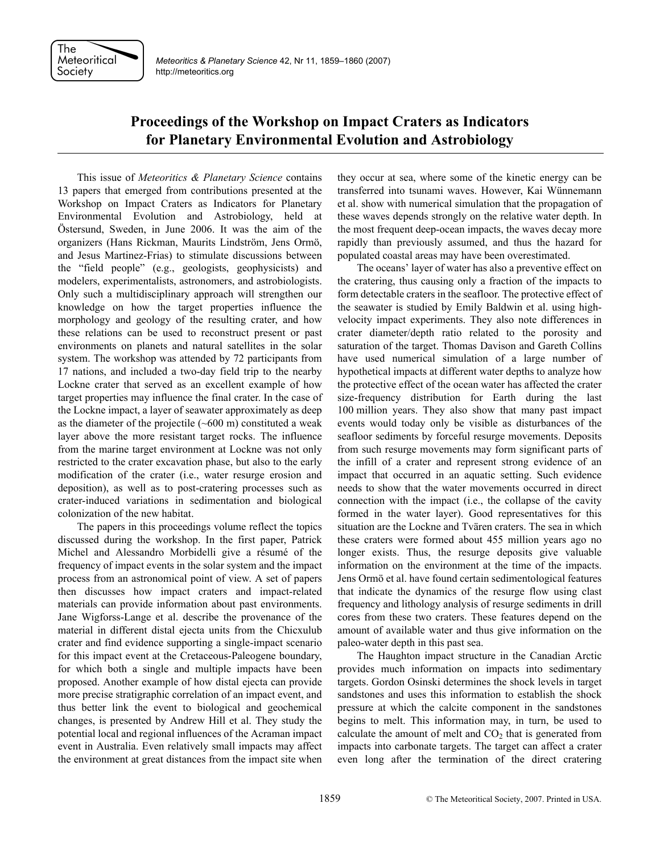

*Meteoritics & Planetary Science* 42, Nr 11, 1859–1860 (2007) http://meteoritics.org

## **Proceedings of the Workshop on Impact Craters as Indicators for Planetary Environmental Evolution and Astrobiology**

This issue of *Meteoritics & Planetary Science* contains 13 papers that emerged from contributions presented at the Workshop on Impact Craters as Indicators for Planetary Environmental Evolution and Astrobiology, held at Östersund, Sweden, in June 2006. It was the aim of the organizers (Hans Rickman, Maurits Lindström, Jens Ormö, and Jesus Martinez-Frias) to stimulate discussions between the "field people" (e.g., geologists, geophysicists) and modelers, experimentalists, astronomers, and astrobiologists. Only such a multidisciplinary approach will strengthen our knowledge on how the target properties influence the morphology and geology of the resulting crater, and how these relations can be used to reconstruct present or past environments on planets and natural satellites in the solar system. The workshop was attended by 72 participants from 17 nations, and included a two-day field trip to the nearby Lockne crater that served as an excellent example of how target properties may influence the final crater. In the case of the Lockne impact, a layer of seawater approximately as deep as the diameter of the projectile  $(\sim 600 \text{ m})$  constituted a weak layer above the more resistant target rocks. The influence from the marine target environment at Lockne was not only restricted to the crater excavation phase, but also to the early modification of the crater (i.e., water resurge erosion and deposition), as well as to post-cratering processes such as crater-induced variations in sedimentation and biological colonization of the new habitat.

The papers in this proceedings volume reflect the topics discussed during the workshop. In the first paper, Patrick Michel and Alessandro Morbidelli give a résumé of the frequency of impact events in the solar system and the impact process from an astronomical point of view. A set of papers then discusses how impact craters and impact-related materials can provide information about past environments. Jane Wigforss-Lange et al. describe the provenance of the material in different distal ejecta units from the Chicxulub crater and find evidence supporting a single-impact scenario for this impact event at the Cretaceous-Paleogene boundary, for which both a single and multiple impacts have been proposed. Another example of how distal ejecta can provide more precise stratigraphic correlation of an impact event, and thus better link the event to biological and geochemical changes, is presented by Andrew Hill et al. They study the potential local and regional influences of the Acraman impact event in Australia. Even relatively small impacts may affect the environment at great distances from the impact site when

they occur at sea, where some of the kinetic energy can be transferred into tsunami waves. However, Kai Wünnemann et al. show with numerical simulation that the propagation of these waves depends strongly on the relative water depth. In the most frequent deep-ocean impacts, the waves decay more rapidly than previously assumed, and thus the hazard for populated coastal areas may have been overestimated.

The oceans' layer of water has also a preventive effect on the cratering, thus causing only a fraction of the impacts to form detectable craters in the seafloor. The protective effect of the seawater is studied by Emily Baldwin et al. using highvelocity impact experiments. They also note differences in crater diameter/depth ratio related to the porosity and saturation of the target. Thomas Davison and Gareth Collins have used numerical simulation of a large number of hypothetical impacts at different water depths to analyze how the protective effect of the ocean water has affected the crater size-frequency distribution for Earth during the last 100 million years. They also show that many past impact events would today only be visible as disturbances of the seafloor sediments by forceful resurge movements. Deposits from such resurge movements may form significant parts of the infill of a crater and represent strong evidence of an impact that occurred in an aquatic setting. Such evidence needs to show that the water movements occurred in direct connection with the impact (i.e., the collapse of the cavity formed in the water layer). Good representatives for this situation are the Lockne and Tvären craters. The sea in which these craters were formed about 455 million years ago no longer exists. Thus, the resurge deposits give valuable information on the environment at the time of the impacts. Jens Ormö et al. have found certain sedimentological features that indicate the dynamics of the resurge flow using clast frequency and lithology analysis of resurge sediments in drill cores from these two craters. These features depend on the amount of available water and thus give information on the paleo-water depth in this past sea.

The Haughton impact structure in the Canadian Arctic provides much information on impacts into sedimentary targets. Gordon Osinski determines the shock levels in target sandstones and uses this information to establish the shock pressure at which the calcite component in the sandstones begins to melt. This information may, in turn, be used to calculate the amount of melt and  $CO<sub>2</sub>$  that is generated from impacts into carbonate targets. The target can affect a crater even long after the termination of the direct cratering